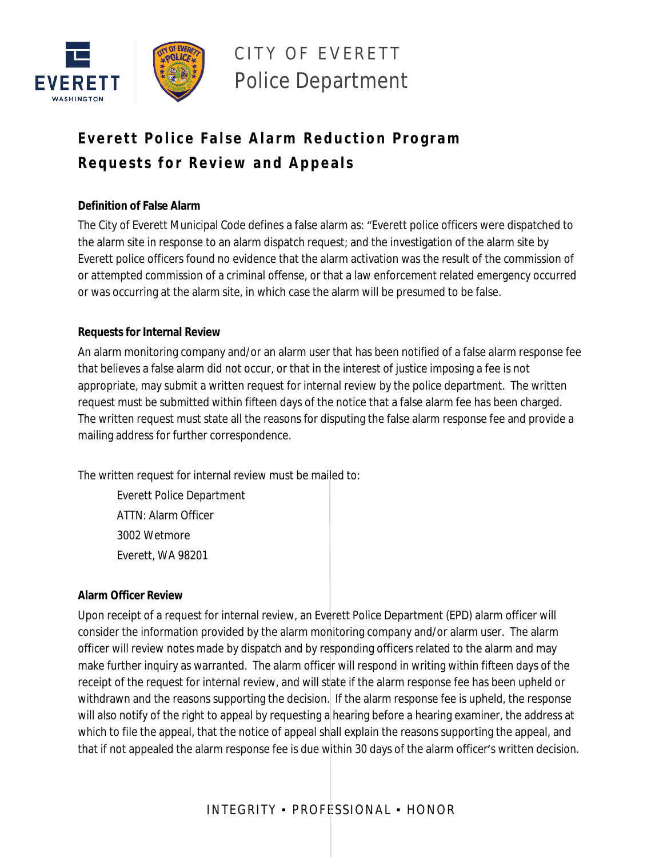

# CITY OF EVERETT Police Department

# **Everett Police False Alarm Reduction Program R e q u e sts f o r R e v i ew a n d Ap p e a ls**

### **Definition of False Alarm**

The City of Everett Municipal Code defines a false alarm as: "Everett police officers were dispatched to the alarm site in response to an alarm dispatch request; and the investigation of the alarm site by Everett police officers found no evidence that the alarm activation was the result of the commission of or attempted commission of a criminal offense, or that a law enforcement related emergency occurred or was occurring at the alarm site, in which case the alarm will be presumed to be false.

## **Requests for Internal Review**

An alarm monitoring company and/or an alarm user that has been notified of a false alarm response fee that believes a false alarm did not occur, or that in the interest of justice imposing a fee is not appropriate, may submit a written request for internal review by the police department. The written request must be submitted within fifteen days of the notice that a false alarm fee has been charged. The written request must state all the reasons for disputing the false alarm response fee and provide a mailing address for further correspondence.

The written request for internal review must be mailed to:

Everett Police Department ATTN: Alarm Officer 3002 Wetmore Everett, WA 98201

#### **Alarm Officer Review**

Upon receipt of a request for internal review, an Everett Police Department (EPD) alarm officer will consider the information provided by the alarm monitoring company and/or alarm user. The alarm officer will review notes made by dispatch and by responding officers related to the alarm and may make further inquiry as warranted. The alarm officer will respond in writing within fifteen days of the receipt of the request for internal review, and will state if the alarm response fee has been upheld or withdrawn and the reasons supporting the decision. If the alarm response fee is upheld, the response will also notify of the right to appeal by requesting a hearing before a hearing examiner, the address at which to file the appeal, that the notice of appeal shall explain the reasons supporting the appeal, and that if not appealed the alarm response fee is due within 30 days of the alarm officer's written decision.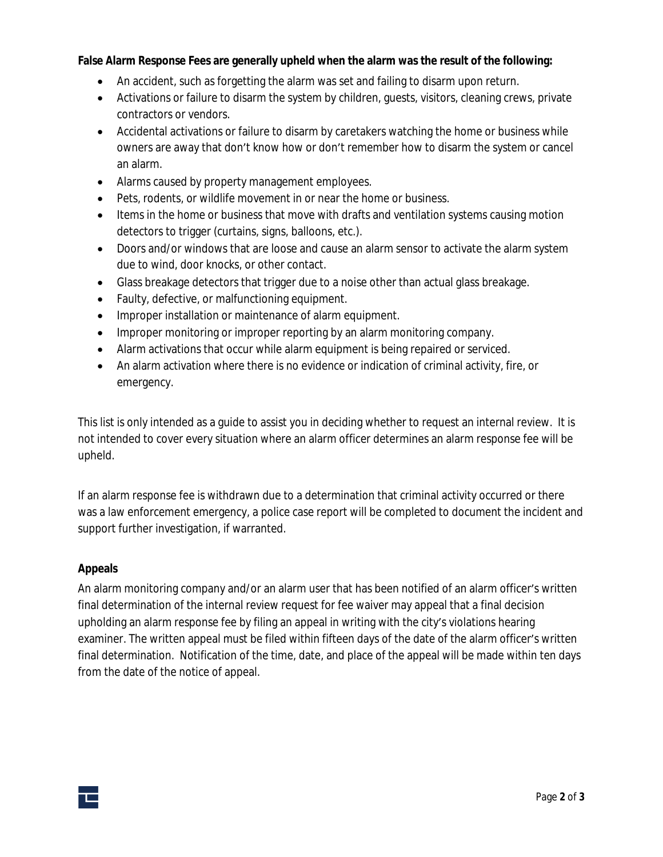#### **False Alarm Response Fees are generally upheld when the alarm was the result of the following:**

- An accident, such as forgetting the alarm was set and failing to disarm upon return.
- Activations or failure to disarm the system by children, guests, visitors, cleaning crews, private contractors or vendors.
- Accidental activations or failure to disarm by caretakers watching the home or business while owners are away that don't know how or don't remember how to disarm the system or cancel an alarm.
- Alarms caused by property management employees.
- Pets, rodents, or wildlife movement in or near the home or business.
- Items in the home or business that move with drafts and ventilation systems causing motion detectors to trigger (curtains, signs, balloons, etc.).
- Doors and/or windows that are loose and cause an alarm sensor to activate the alarm system due to wind, door knocks, or other contact.
- Glass breakage detectors that trigger due to a noise other than actual glass breakage.
- Faulty, defective, or malfunctioning equipment.
- **Improper installation or maintenance of alarm equipment.**
- Improper monitoring or improper reporting by an alarm monitoring company.
- Alarm activations that occur while alarm equipment is being repaired or serviced.
- An alarm activation where there is no evidence or indication of criminal activity, fire, or emergency.

This list is only intended as a guide to assist you in deciding whether to request an internal review. It is not intended to cover every situation where an alarm officer determines an alarm response fee will be upheld.

If an alarm response fee is withdrawn due to a determination that criminal activity occurred or there was a law enforcement emergency, a police case report will be completed to document the incident and support further investigation, if warranted.

#### **Appeals**

An alarm monitoring company and/or an alarm user that has been notified of an alarm officer's written final determination of the internal review request for fee waiver may appeal that a final decision upholding an alarm response fee by filing an appeal in writing with the city's violations hearing examiner. The written appeal must be filed within fifteen days of the date of the alarm officer's written final determination. Notification of the time, date, and place of the appeal will be made within ten days from the date of the notice of appeal.